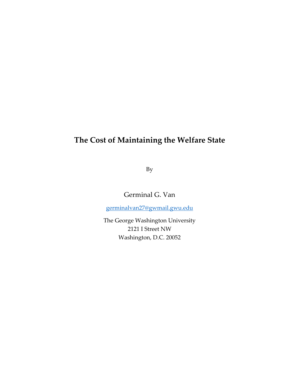# **The Cost of Maintaining the Welfare State**

By

Germinal G. Van

germinalvan27@gwmail.gwu.edu

The George Washington University 2121 I Street NW Washington, D.C. 20052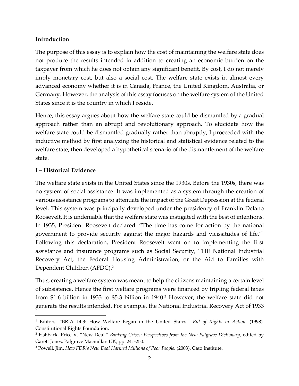### **Introduction**

The purpose of this essay is to explain how the cost of maintaining the welfare state does not produce the results intended in addition to creating an economic burden on the taxpayer from which he does not obtain any significant benefit. By cost, I do not merely imply monetary cost, but also a social cost. The welfare state exists in almost every advanced economy whether it is in Canada, France, the United Kingdom, Australia, or Germany. However, the analysis of this essay focuses on the welfare system of the United States since it is the country in which I reside.

Hence, this essay argues about how the welfare state could be dismantled by a gradual approach rather than an abrupt and revolutionary approach. To elucidate how the welfare state could be dismantled gradually rather than abruptly, I proceeded with the inductive method by first analyzing the historical and statistical evidence related to the welfare state, then developed a hypothetical scenario of the dismantlement of the welfare state.

## **I – Historical Evidence**

The welfare state exists in the United States since the 1930s. Before the 1930s, there was no system of social assistance. It was implemented as a system through the creation of various assistance programs to attenuate the impact of the Great Depression at the federal level. This system was principally developed under the presidency of Franklin Delano Roosevelt. It is undeniable that the welfare state was instigated with the best of intentions. In 1935, President Roosevelt declared: "The time has come for action by the national government to provide security against the major hazards and vicissitudes of life."1 Following this declaration, President Roosevelt went on to implementing the first assistance and insurance programs such as Social Security, THE National Industrial Recovery Act, the Federal Housing Administration, or the Aid to Families with Dependent Children (AFDC).2

Thus, creating a welfare system was meant to help the citizens maintaining a certain level of subsistence. Hence the first welfare programs were financed by tripling federal taxes from \$1.6 billion in 1933 to \$5.3 billion in 1940.3 However, the welfare state did not generate the results intended. For example, the National Industrial Recovery Act of 1933

<sup>1</sup> Editors. "BRIA 14.3: How Welfare Began in the United States." *Bill of Rights in Action.* (1998). Constitutional Rights Foundation.

<sup>2</sup> Fishback, Price V. "New Deal." *Banking Crises: Perspectives from the New Palgrave Dictionary,* edited by Garett Jones, Palgrave Macmillan UK, pp. 241-250.

<sup>&</sup>lt;sup>3</sup> Powell, Jim. *How FDR's New Deal Harmed Millions of Poor People.* (2003). Cato Institute.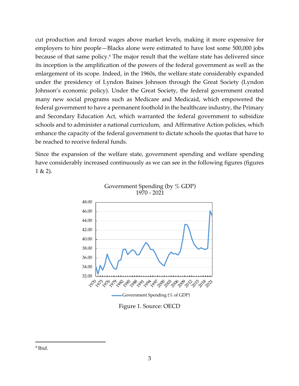cut production and forced wages above market levels, making it more expensive for employers to hire people—Blacks alone were estimated to have lost some 500,000 jobs because of that same policy. <sup>4</sup> The major result that the welfare state has delivered since its inception is the amplification of the powers of the federal government as well as the enlargement of its scope. Indeed, in the 1960s, the welfare state considerably expanded under the presidency of Lyndon Baines Johnson through the Great Society (Lyndon Johnson's economic policy). Under the Great Society, the federal government created many new social programs such as Medicare and Medicaid, which empowered the federal government to have a permanent foothold in the healthcare industry, the Primary and Secondary Education Act, which warranted the federal government to subsidize schools and to administer a national curriculum, and Affirmative Action policies, which enhance the capacity of the federal government to dictate schools the quotas that have to be reached to receive federal funds.

Since the expansion of the welfare state, government spending and welfare spending have considerably increased continuously as we can see in the following figures (figures  $1 & (2)$ .





Figure 1. Source: OECD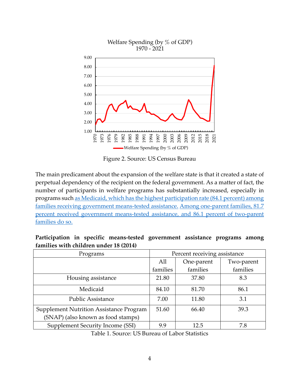

Figure 2. Source: US Census Bureau

The main predicament about the expansion of the welfare state is that it created a state of perpetual dependency of the recipient on the federal government. As a matter of fact, the number of participants in welfare programs has substantially increased, especially in programs such as Medicaid, which has the highest participation rate (84.1 percent) among families receiving government means-tested assistance. Among one-parent families, 81.7 percent received government means-tested assistance, and 86.1 percent of two-parent families do so.

| Tummics With Chinten untier to (2011)          |                              |            |            |  |  |
|------------------------------------------------|------------------------------|------------|------------|--|--|
| Programs                                       | Percent receiving assistance |            |            |  |  |
|                                                | All                          | One-parent | Two-parent |  |  |
|                                                | families                     | families   | families   |  |  |
| Housing assistance                             | 21.80                        | 37.80      | 8.3        |  |  |
| Medicaid                                       | 84.10                        | 81.70      | 86.1       |  |  |
| <b>Public Assistance</b>                       | 7.00                         | 11.80      | 3.1        |  |  |
| <b>Supplement Nutrition Assistance Program</b> | 51.60                        | 66.40      | 39.3       |  |  |
| (SNAP) (also known as food stamps)             |                              |            |            |  |  |
| Supplement Security Income (SSI)               | 9.9                          | 12.5       | 7.8        |  |  |

**Participation in specific means-tested government assistance programs among families with children under 18 (2014)**

Table 1. Source: US Bureau of Labor Statistics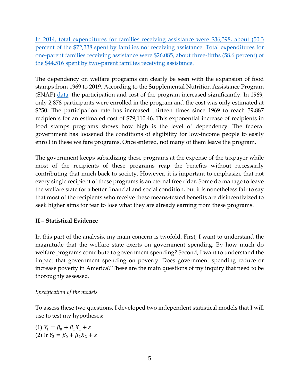In 2014, total expenditures for families receiving assistance were \$36,398, about (50.3 percent of the \$72,338 spent by families not receiving assistance. Total expenditures for one-parent families receiving assistance were \$26,085, about three-fifths (58.6 percent) of the \$44,516 spent by two-parent families receiving assistance.

The dependency on welfare programs can clearly be seen with the expansion of food stamps from 1969 to 2019. According to the Supplemental Nutrition Assistance Program (SNAP) data, the participation and cost of the program increased significantly. In 1969, only 2,878 participants were enrolled in the program and the cost was only estimated at \$250. The participation rate has increased thirteen times since 1969 to reach 39,887 recipients for an estimated cost of \$79,110.46. This exponential increase of recipients in food stamps programs shows how high is the level of dependency. The federal government has loosened the conditions of eligibility for low-income people to easily enroll in these welfare programs. Once entered, not many of them leave the program.

The government keeps subsidizing these programs at the expense of the taxpayer while most of the recipients of these programs reap the benefits without necessarily contributing that much back to society. However, it is important to emphasize that not every single recipient of these programs is an eternal free rider. Some do manage to leave the welfare state for a better financial and social condition, but it is nonetheless fair to say that most of the recipients who receive these means-tested benefits are disincentivized to seek higher aims for fear to lose what they are already earning from these programs.

## **II – Statistical Evidence**

In this part of the analysis, my main concern is twofold. First, I want to understand the magnitude that the welfare state exerts on government spending. By how much do welfare programs contribute to government spending? Second, I want to understand the impact that government spending on poverty. Does government spending reduce or increase poverty in America? These are the main questions of my inquiry that need to be thoroughly assessed.

## *Specification of the models*

To assess these two questions, I developed two independent statistical models that I will use to test my hypotheses:

(1)  $Y_1 = \beta_0 + \beta_1 X_1 + \varepsilon$ (2)  $\ln Y_2 = \beta_0 + \beta_2 X_2 + \varepsilon$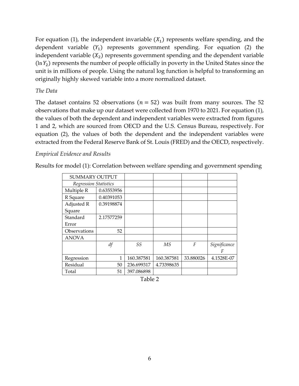For equation (1), the independent invariable  $(X_1)$  represents welfare spending, and the dependent variable  $(Y_1)$  represents government spending. For equation (2) the independent variable  $(X_2)$  represents government spending and the dependent variable  $(\ln Y_2)$  represents the number of people officially in poverty in the United States since the unit is in millions of people. Using the natural log function is helpful to transforming an originally highly skewed variable into a more normalized dataset.

#### *The Data*

The dataset contains 52 observations ( $n = 52$ ) was built from many sources. The 52 observations that make up our dataset were collected from 1970 to 2021. For equation (1), the values of both the dependent and independent variables were extracted from figures 1 and 2, which are sourced from OECD and the U.S. Census Bureau, respectively. For equation (2), the values of both the dependent and the independent variables were extracted from the Federal Reserve Bank of St. Louis (FRED) and the OECD, respectively.

#### *Empirical Evidence and Results*

Results for model (1): Correlation between welfare spending and government spending

| <b>SUMMARY OUTPUT</b>        |            |            |            |                  |              |
|------------------------------|------------|------------|------------|------------------|--------------|
| <b>Regression Statistics</b> |            |            |            |                  |              |
| Multiple R                   | 0.63553956 |            |            |                  |              |
| R Square                     | 0.40391053 |            |            |                  |              |
| Adjusted R                   | 0.39198874 |            |            |                  |              |
| Square                       |            |            |            |                  |              |
| Standard                     | 2.17577259 |            |            |                  |              |
| Error                        |            |            |            |                  |              |
| Observations                 | 52         |            |            |                  |              |
| <b>ANOVA</b>                 |            |            |            |                  |              |
|                              | df         | SS         | <b>MS</b>  | $\boldsymbol{F}$ | Significance |
|                              |            |            |            |                  |              |
| Regression                   | 1          | 160.387581 | 160.387581 | 33.880026        | 4.1528E-07   |
| Residual                     | 50         | 236.699317 | 4.73398635 |                  |              |
| Total                        | 51         | 397.086898 |            |                  |              |

|  | anie |  |
|--|------|--|
|--|------|--|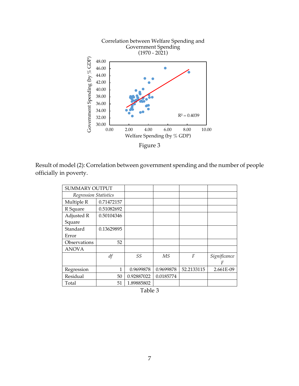

Result of model (2): Correlation between government spending and the number of people officially in poverty.

| <b>SUMMARY OUTPUT</b> |            |            |           |            |              |
|-----------------------|------------|------------|-----------|------------|--------------|
| Regression Statistics |            |            |           |            |              |
| Multiple R            | 0.71472157 |            |           |            |              |
| R Square              | 0.51082692 |            |           |            |              |
| Adjusted R            | 0.50104346 |            |           |            |              |
| Square                |            |            |           |            |              |
| Standard              | 0.13629895 |            |           |            |              |
| Error                 |            |            |           |            |              |
| Observations          | 52         |            |           |            |              |
| <b>ANOVA</b>          |            |            |           |            |              |
|                       | df         | SS         | MS        | F          | Significance |
|                       |            |            |           |            | F            |
| Regression            | 1          | 0.9699878  | 0.9699878 | 52.2133115 | 2.661E-09    |
| Residual              | 50         | 0.92887022 | 0.0185774 |            |              |
| Total                 | 51         | 1.89885802 |           |            |              |

Table 3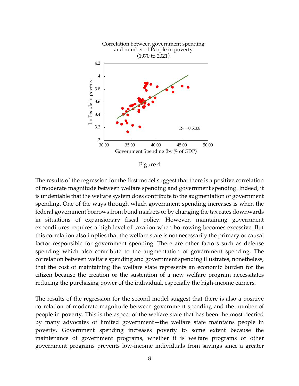

Figure 4

The results of the regression for the first model suggest that there is a positive correlation of moderate magnitude between welfare spending and government spending. Indeed, it is undeniable that the welfare system does contribute to the augmentation of government spending. One of the ways through which government spending increases is when the federal government borrows from bond markets or by changing the tax rates downwards in situations of expansionary fiscal policy. However, maintaining government expenditures requires a high level of taxation when borrowing becomes excessive. But this correlation also implies that the welfare state is not necessarily the primary or causal factor responsible for government spending. There are other factors such as defense spending which also contribute to the augmentation of government spending. The correlation between welfare spending and government spending illustrates, nonetheless, that the cost of maintaining the welfare state represents an economic burden for the citizen because the creation or the sustention of a new welfare program necessitates reducing the purchasing power of the individual, especially the high-income earners.

The results of the regression for the second model suggest that there is also a positive correlation of moderate magnitude between government spending and the number of people in poverty. This is the aspect of the welfare state that has been the most decried by many advocates of limited government—the welfare state maintains people in poverty. Government spending increases poverty to some extent because the maintenance of government programs, whether it is welfare programs or other government programs prevents low-income individuals from savings since a greater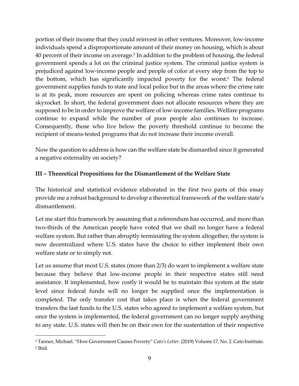portion of their income that they could reinvest in other ventures. Moreover, low-income individuals spend a disproportionate amount of their money on housing, which is about 40 percent of their income on average.5 In addition to the problem of housing, the federal government spends a lot on the criminal justice system. The criminal justice system is prejudiced against low-income people and people of color at every step from the top to the bottom, which has significantly impacted poverty for the worst. <sup>6</sup> The federal government supplies funds to state and local police but in the areas where the crime rate is at its peak, more resources are spent on policing whereas crime rates continue to skyrocket. In short, the federal government does not allocate resources where they are supposed to be in order to improve the welfare of low-income families. Welfare programs continue to expand while the number of poor people also continues to increase. Consequently, those who live below the poverty threshold continue to become the recipient of means-tested programs that do not increase their income overall.

Now the question to address is how can the welfare state be dismantled since it generated a negative externality on society?

## **III – Theoretical Propositions for the Dismantlement of the Welfare State**

The historical and statistical evidence elaborated in the first two parts of this essay provide me a robust background to develop a theoretical framework of the welfare state's dismantlement.

Let me start this framework by assuming that a referendum has occurred, and more than two-thirds of the American people have voted that we shall no longer have a federal welfare system. But rather than abruptly terminating the system altogether, the system is now decentralized where U.S. states have the choice to either implement their own welfare state or to simply not.

Let us assume that most U.S. states (more than 2/3) do want to implement a welfare state because they believe that low-income people in their respective states still need assistance. If implemented, how costly it would be to maintain this system at the state level since federal funds will no longer be supplied once the implementation is completed. The only transfer cost that takes place is when the federal government transfers the last funds to the U.S. states who agreed to implement a welfare system, but once the system is implemented, the federal government can no longer supply anything to any state. U.S. states will then be on their own for the sustentation of their respective

<sup>5</sup> Tanner, Michael. "How Government Causes Poverty" *Cato's Letter.* (2019) Volume 17, No. 2. Cato Institute. <sup>6</sup> Ibid.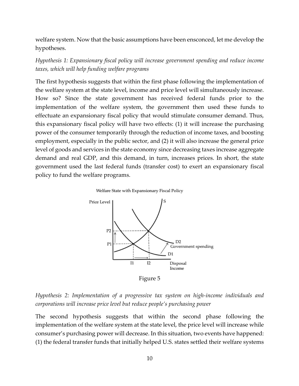welfare system. Now that the basic assumptions have been ensconced, let me develop the hypotheses.

*Hypothesis 1: Expansionary fiscal policy will increase government spending and reduce income taxes, which will help funding welfare programs*

The first hypothesis suggests that within the first phase following the implementation of the welfare system at the state level, income and price level will simultaneously increase. How so? Since the state government has received federal funds prior to the implementation of the welfare system, the government then used these funds to effectuate an expansionary fiscal policy that would stimulate consumer demand. Thus, this expansionary fiscal policy will have two effects: (1) it will increase the purchasing power of the consumer temporarily through the reduction of income taxes, and boosting employment, especially in the public sector, and (2) it will also increase the general price level of goods and services in the state economy since decreasing taxes increase aggregate demand and real GDP, and this demand, in turn, increases prices. In short, the state government used the last federal funds (transfer cost) to exert an expansionary fiscal policy to fund the welfare programs.





Figure 5

*Hypothesis 2: Implementation of a progressive tax system on high-income individuals and corporations will increase price level but reduce people's purchasing power*

The second hypothesis suggests that within the second phase following the implementation of the welfare system at the state level, the price level will increase while consumer's purchasing power will decrease. In this situation, two events have happened: (1) the federal transfer funds that initially helped U.S. states settled their welfare systems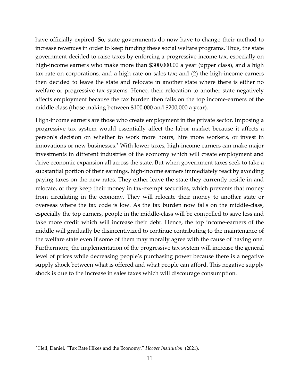have officially expired. So, state governments do now have to change their method to increase revenues in order to keep funding these social welfare programs. Thus, the state government decided to raise taxes by enforcing a progressive income tax, especially on high-income earners who make more than \$300,000.00 a year (upper class), and a high tax rate on corporations, and a high rate on sales tax; and (2) the high-income earners then decided to leave the state and relocate in another state where there is either no welfare or progressive tax systems. Hence, their relocation to another state negatively affects employment because the tax burden then falls on the top income-earners of the middle class (those making between \$100,000 and \$200,000 a year).

High-income earners are those who create employment in the private sector. Imposing a progressive tax system would essentially affect the labor market because it affects a person's decision on whether to work more hours, hire more workers, or invest in innovations or new businesses.<sup>7</sup> With lower taxes, high-income earners can make major investments in different industries of the economy which will create employment and drive economic expansion all across the state. But when government taxes seek to take a substantial portion of their earnings, high-income earners immediately react by avoiding paying taxes on the new rates. They either leave the state they currently reside in and relocate, or they keep their money in tax-exempt securities, which prevents that money from circulating in the economy. They will relocate their money to another state or overseas where the tax code is low. As the tax burden now falls on the middle-class, especially the top earners, people in the middle-class will be compelled to save less and take more credit which will increase their debt. Hence, the top income-earners of the middle will gradually be disincentivized to continue contributing to the maintenance of the welfare state even if some of them may morally agree with the cause of having one. Furthermore, the implementation of the progressive tax system will increase the general level of prices while decreasing people's purchasing power because there is a negative supply shock between what is offered and what people can afford. This negative supply shock is due to the increase in sales taxes which will discourage consumption.

<sup>7</sup> Heil, Daniel. "Tax Rate Hikes and the Economy." *Hoover Institution.* (2021).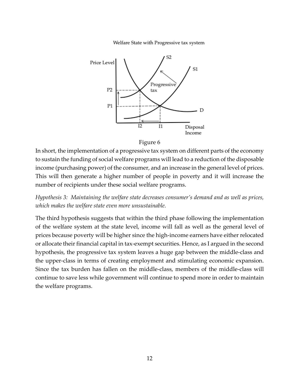Welfare State with Progressive tax system



#### Figure 6

In short, the implementation of a progressive tax system on different parts of the economy to sustain the funding of social welfare programs will lead to a reduction of the disposable income (purchasing power) of the consumer, and an increase in the general level of prices. This will then generate a higher number of people in poverty and it will increase the number of recipients under these social welfare programs.

*Hypothesis 3: Maintaining the welfare state decreases consumer's demand and as well as prices, which makes the welfare state even more unsustainable.*

The third hypothesis suggests that within the third phase following the implementation of the welfare system at the state level, income will fall as well as the general level of prices because poverty will be higher since the high-income earners have either relocated or allocate their financial capital in tax-exempt securities. Hence, as I argued in the second hypothesis, the progressive tax system leaves a huge gap between the middle-class and the upper-class in terms of creating employment and stimulating economic expansion. Since the tax burden has fallen on the middle-class, members of the middle-class will continue to save less while government will continue to spend more in order to maintain the welfare programs.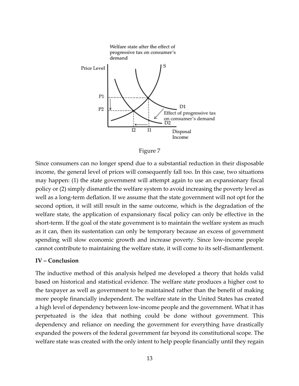



Since consumers can no longer spend due to a substantial reduction in their disposable income, the general level of prices will consequently fall too. In this case, two situations may happen: (1) the state government will attempt again to use an expansionary fiscal policy or (2) simply dismantle the welfare system to avoid increasing the poverty level as well as a long-term deflation. If we assume that the state government will not opt for the second option, it will still result in the same outcome, which is the degradation of the welfare state, the application of expansionary fiscal policy can only be effective in the short-term. If the goal of the state government is to maintain the welfare system as much as it can, then its sustentation can only be temporary because an excess of government spending will slow economic growth and increase poverty. Since low-income people cannot contribute to maintaining the welfare state, it will come to its self-dismantlement.

#### **IV – Conclusion**

The inductive method of this analysis helped me developed a theory that holds valid based on historical and statistical evidence. The welfare state produces a higher cost to the taxpayer as well as government to be maintained rather than the benefit of making more people financially independent. The welfare state in the United States has created a high level of dependency between low-income people and the government. What it has perpetuated is the idea that nothing could be done without government. This dependency and reliance on needing the government for everything have drastically expanded the powers of the federal government far beyond its constitutional scope. The welfare state was created with the only intent to help people financially until they regain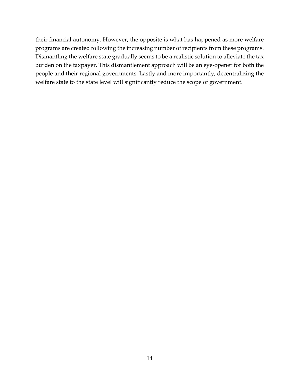their financial autonomy. However, the opposite is what has happened as more welfare programs are created following the increasing number of recipients from these programs. Dismantling the welfare state gradually seems to be a realistic solution to alleviate the tax burden on the taxpayer. This dismantlement approach will be an eye-opener for both the people and their regional governments. Lastly and more importantly, decentralizing the welfare state to the state level will significantly reduce the scope of government.